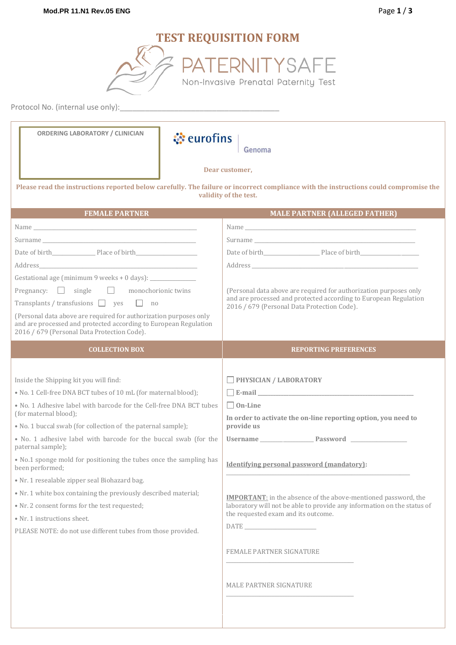# **TEST REQUISITION FORM**



Protocol No. (internal use only):\_\_\_\_\_\_\_\_\_\_\_\_\_\_\_\_\_\_\_\_\_\_\_\_\_\_\_\_\_\_\_\_\_\_\_\_\_\_

| <b>ORDERING LABORATORY / CLINICIAN</b><br><b><i><u></u></i></b> eurofins                                                                                                                                                       | Genoma                                                                                                                                                                                                                         |
|--------------------------------------------------------------------------------------------------------------------------------------------------------------------------------------------------------------------------------|--------------------------------------------------------------------------------------------------------------------------------------------------------------------------------------------------------------------------------|
| Dear customer,                                                                                                                                                                                                                 |                                                                                                                                                                                                                                |
| Please read the instructions reported below carefully. The failure or incorrect compliance with the instructions could compromise the<br>validity of the test.                                                                 |                                                                                                                                                                                                                                |
| <b>FEMALE PARTNER</b>                                                                                                                                                                                                          | <b>MALE PARTNER (ALLEGED FATHER)</b>                                                                                                                                                                                           |
| Name and the second contract of the second contract of the second contract of the second contract of the second contract of the second contract of the second contract of the second contract of the second contract of the se |                                                                                                                                                                                                                                |
| Surname experience and the second state of the second state of the second state of the second state of the second state of the second state of the second state of the second state of the second state of the second state of | Surname experience and the second state of the second state of the second state of the second state of the second state of the second state of the second state of the second state of the second state of the second state of |
|                                                                                                                                                                                                                                |                                                                                                                                                                                                                                |
|                                                                                                                                                                                                                                |                                                                                                                                                                                                                                |
|                                                                                                                                                                                                                                |                                                                                                                                                                                                                                |
| Pregnancy: $\Box$ single<br>monochorionic twins<br>Transplants / transfusions $\Box$ yes $\Box$ no<br>(Personal data above are required for authorization purposes only                                                        | (Personal data above are required for authorization purposes only<br>and are processed and protected according to European Regulation<br>2016 / 679 (Personal Data Protection Code).                                           |
| and are processed and protected according to European Regulation<br>2016 / 679 (Personal Data Protection Code).                                                                                                                |                                                                                                                                                                                                                                |
| <b>COLLECTION BOX</b>                                                                                                                                                                                                          | <b>REPORTING PREFERENCES</b>                                                                                                                                                                                                   |
|                                                                                                                                                                                                                                |                                                                                                                                                                                                                                |
| Inside the Shipping kit you will find:                                                                                                                                                                                         | PHYSICIAN / LABORATORY                                                                                                                                                                                                         |
| • No. 1 Cell-free DNA BCT tubes of 10 mL (for maternal blood);                                                                                                                                                                 |                                                                                                                                                                                                                                |
| . No. 1 Adhesive label with barcode for the Cell-free DNA BCT tubes<br>(for maternal blood);                                                                                                                                   | $\Box$ On-Line                                                                                                                                                                                                                 |
| • No. 1 buccal swab (for collection of the paternal sample);                                                                                                                                                                   | In order to activate the on-line reporting option, you need to<br>provide us                                                                                                                                                   |
| • No. 1 adhesive label with barcode for the buccal swab (for the<br>paternal sample);                                                                                                                                          |                                                                                                                                                                                                                                |
| . No.1 sponge mold for positioning the tubes once the sampling has<br>been performed;                                                                                                                                          | <b>Identifying personal password (mandatory):</b>                                                                                                                                                                              |
| · Nr. 1 resealable zipper seal Biohazard bag.                                                                                                                                                                                  |                                                                                                                                                                                                                                |
| • Nr. 1 white box containing the previously described material;                                                                                                                                                                | <b>IMPORTANT:</b> in the absence of the above-mentioned password, the                                                                                                                                                          |
| • Nr. 2 consent forms for the test requested;                                                                                                                                                                                  | laboratory will not be able to provide any information on the status of<br>the requested exam and its outcome.                                                                                                                 |
| • Nr. 1 instructions sheet.                                                                                                                                                                                                    |                                                                                                                                                                                                                                |
| PLEASE NOTE: do not use different tubes from those provided.                                                                                                                                                                   |                                                                                                                                                                                                                                |
|                                                                                                                                                                                                                                | FEMALE PARTNER SIGNATURE                                                                                                                                                                                                       |
|                                                                                                                                                                                                                                | MALE PARTNER SIGNATURE                                                                                                                                                                                                         |
|                                                                                                                                                                                                                                |                                                                                                                                                                                                                                |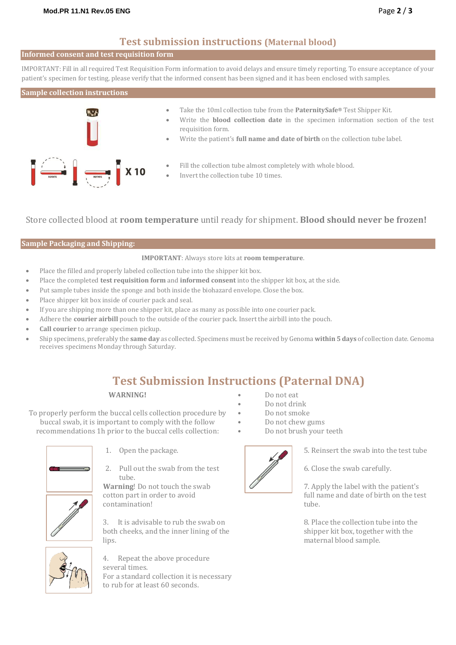# **Test submission instructions (Maternal blood)**

## **Informed consent and test requisition form**

IMPORTANT: Fill in all required Test Requisition Form information to avoid delays and ensure timely reporting. To ensure acceptance of your patient's specimen for testing, please verify that the informed consent has been signed and it has been enclosed with samples.

### **Sample collection instructions**



- Take the 10ml collection tube from the **PaternitySafe®** Test Shipper Kit.
- Write the **blood collection date** in the specimen information section of the test requisition form.
- Write the patient's **full name and date of birth** on the collection tube label.
- Fill the collection tube almost completely with whole blood.
- Invert the collection tube 10 times.

Store collected blood at **room temperature** until ready for shipment. **Blood should never be frozen!**

## **Sample Packaging and Shipping:**

### **IMPORTANT**: Always store kits at **room temperature**.

- Place the filled and properly labeled collection tube into the shipper kit box.
- Place the completed **test requisition form** and **informed consent** into the shipper kit box, at the side.
- Put sample tubes inside the sponge and both inside the biohazard envelope. Close the box.
- Place shipper kit box inside of courier pack and seal.
- If you are shipping more than one shipper kit, place as many as possible into one courier pack.
- Adhere the **courier airbill** pouch to the outside of the courier pack. Insert the airbill into the pouch.
- **Call courier** to arrange specimen pickup.
- Ship specimens, preferably the **same day** as collected. Specimens must be received by Genoma **within 5 days** of collection date. Genoma receives specimens Monday through Saturday.

# **Test Submission Instructions (Paternal DNA)**

### **WARNING!**

To properly perform the buccal cells collection procedure by buccal swab, it is important to comply with the follow recommendations 1h prior to the buccal cells collection:



- 1. Open the package.
- 2. Pull out the swab from the test tube.

**Warning**! Do not touch the swab cotton part in order to avoid contamination!

3. It is advisable to rub the swab on both cheeks, and the inner lining of the lips.



4. Repeat the above procedure several times. For a standard collection it is necessary to rub for at least 60 seconds.

- Do not eat
- Do not drink
- Do not smoke
- Do not chew gums
- Do not brush your teeth



5. Reinsert the swab into the test tube

6. Close the swab carefully.

7. Apply the label with the patient's full name and date of birth on the test tube.

8. Place the collection tube into the shipper kit box, together with the maternal blood sample.